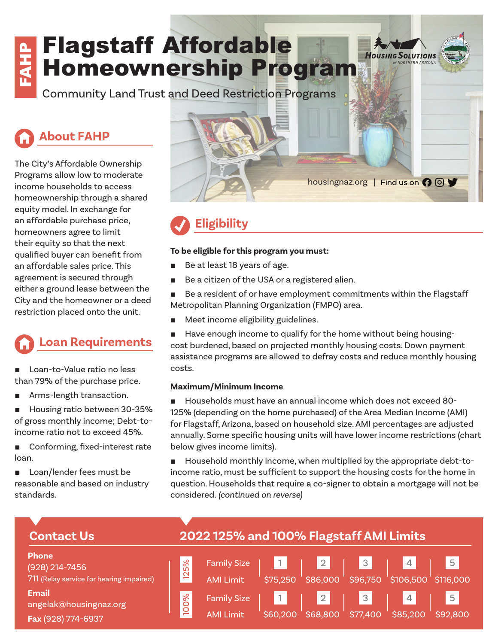## Flagstaff Affordable FAHP **HOUSING SOLUTIONS Homeownership Program**

Community Land Trust and Deed Restriction Programs

# **About FAHP**

The City's Affordable Ownership Programs allow low to moderate income households to access homeownership through a shared equity model. In exchange for an affordable purchase price, homeowners agree to limit their equity so that the next qualified buyer can benefit from an affordable sales price. This agreement is secured through either a ground lease between the City and the homeowner or a deed restriction placed onto the unit.

# **Loan Requirements**

Loan-to-Value ratio no less than 79% of the purchase price.

- Arms-length transaction.
- Housing ratio between 30-35% of gross monthly income; Debt-toincome ratio not to exceed 45%.
- Conforming, fixed-interest rate loan.

■ Loan/lender fees must be reasonable and based on industry standards.

# housingnaz.org | Find us on  $\bigcirc$  0

**Eligibility**

### **To be eligible for this program you must:**

- Be at least 18 years of age.
- Be a citizen of the USA or a registered alien.
- Be a resident of or have employment commitments within the Flagstaff Metropolitan Planning Organization (FMPO) area.
- Meet income eligibility guidelines.
- Have enough income to qualify for the home without being housingcost burdened, based on projected monthly housing costs. Down payment assistance programs are allowed to defray costs and reduce monthly housing costs.

## **Maximum/Minimum Income**

Households must have an annual income which does not exceed 80-125% (depending on the home purchased) of the Area Median Income (AMI) for Flagstaff, Arizona, based on household size. AMI percentages are adjusted annually. Some specific housing units will have lower income restrictions (chart below gives income limits).

Household monthly income, when multiplied by the appropriate debt-toincome ratio, must be sufficient to support the housing costs for the home in question. Households that require a co-signer to obtain a mortgage will not be considered. *(continued on reverse)*

#### **2022 125% and 100% Flagstaff AMI Limits Contact Us Phone**  125% 5 Family Size 3 (928) 214-7456 AMI Limit \$75,250 \$86,000 \$96,750 \$106,500 \$116,000 711 (Relay service for hearing impaired) **Email** 00% Family Size 3 5 angelak@housingnaz.org AMI Limit \$60,200 \$68,800 \$77,400 \$85,200 \$92,800 **Fax** (928) 774-6937